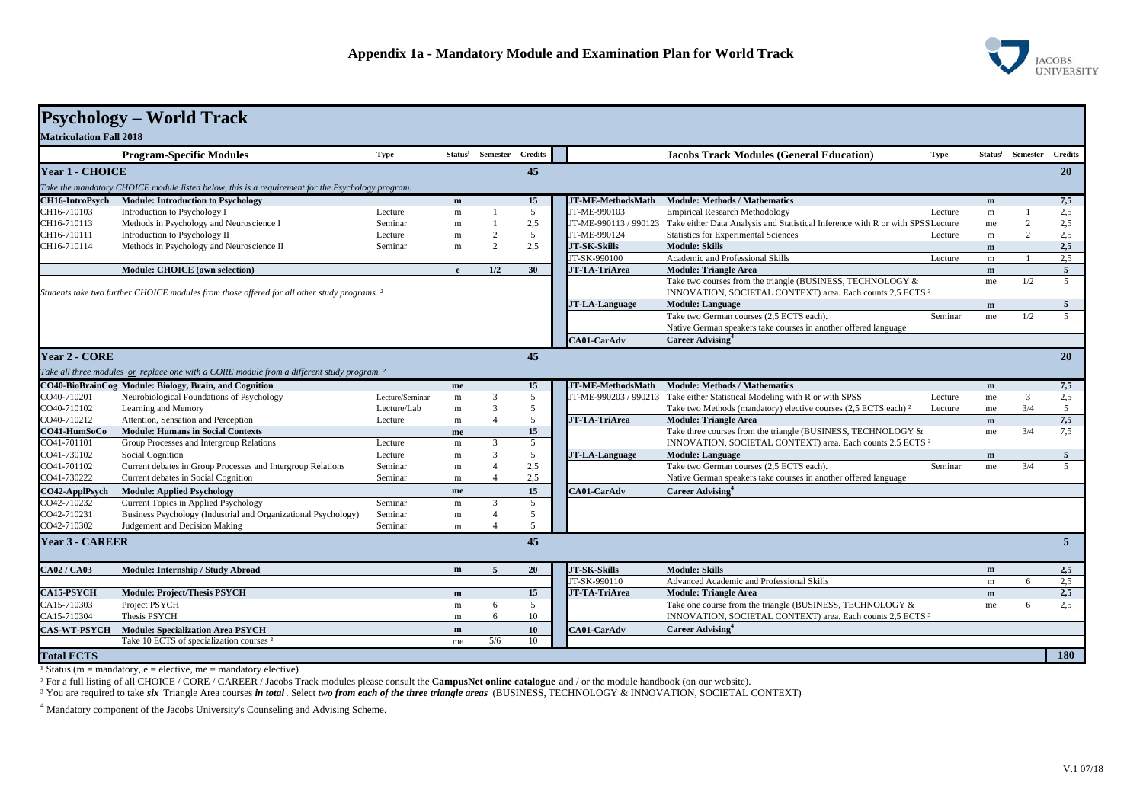

|                                                                                                        | <b>Psychology - World Track</b>                                                                       |                 |              |                              |                |                       |                                                                                 |             |              |                              |                |
|--------------------------------------------------------------------------------------------------------|-------------------------------------------------------------------------------------------------------|-----------------|--------------|------------------------------|----------------|-----------------------|---------------------------------------------------------------------------------|-------------|--------------|------------------------------|----------------|
| <b>Matriculation Fall 2018</b>                                                                         |                                                                                                       |                 |              |                              |                |                       |                                                                                 |             |              |                              |                |
|                                                                                                        | <b>Program-Specific Modules</b>                                                                       | <b>Type</b>     |              | Status <sup>1</sup> Semester | <b>Credits</b> |                       | <b>Jacobs Track Modules (General Education)</b>                                 | <b>Type</b> |              | Status <sup>1</sup> Semester | <b>Credits</b> |
| Year 1 - CHOICE                                                                                        |                                                                                                       |                 |              |                              | 45             |                       |                                                                                 |             |              |                              | <b>20</b>      |
| Take the mandatory CHOICE module listed below, this is a requirement for the Psychology program.       |                                                                                                       |                 |              |                              |                |                       |                                                                                 |             |              |                              |                |
| CH16-IntroPsych                                                                                        | <b>Module: Introduction to Psychology</b>                                                             |                 | m            |                              | 15             | JT-ME-MethodsMath     | <b>Module: Methods / Mathematics</b>                                            |             | m            |                              | 7,5            |
| CH16-710103                                                                                            | Introduction to Psychology I                                                                          | Lecture         | m            |                              | 5              | JT-ME-990103          | <b>Empirical Research Methodology</b>                                           | Lecture     | $\, {\rm m}$ |                              | 2.5            |
| CH16-710113                                                                                            | Methods in Psychology and Neuroscience I                                                              | Seminar         | $\mathbf m$  |                              | 2,5            | JT-ME-990113 / 990123 | Take either Data Analysis and Statistical Inference with R or with SPSS Lecture |             | me           | $\overline{2}$               | 2,5            |
| CH16-710111                                                                                            | Introduction to Psychology II                                                                         | Lecture         | $\mathbf m$  | 2                            | 5              | JT-ME-990124          | Statistics for Experimental Sciences                                            | Lecture     | $\, {\rm m}$ | $\overline{2}$               | 2,5            |
| CH16-710114                                                                                            | Methods in Psychology and Neuroscience II                                                             | Seminar         | m            | 2                            | 2,5            | <b>JT-SK-Skills</b>   | <b>Module: Skills</b>                                                           |             | m            |                              | 2,5            |
|                                                                                                        |                                                                                                       |                 |              |                              |                | JT-SK-990100          | Academic and Professional Skills                                                | Lecture     | m            |                              | 2,5            |
|                                                                                                        | Module: CHOICE (own selection)                                                                        |                 | $\mathbf{e}$ | 1/2                          | 30             | JT-TA-TriArea         | <b>Module: Triangle Area</b>                                                    |             | ${\bf m}$    |                              | 5 <sup>5</sup> |
|                                                                                                        |                                                                                                       |                 |              |                              |                |                       | Take two courses from the triangle (BUSINESS, TECHNOLOGY &                      |             | me           | 1/2                          | .5             |
| Students take two further CHOICE modules from those offered for all other study programs. <sup>2</sup> |                                                                                                       |                 |              |                              |                |                       | INNOVATION, SOCIETAL CONTEXT) area. Each counts 2,5 ECTS 3                      |             |              |                              |                |
|                                                                                                        |                                                                                                       |                 |              |                              |                | JT-LA-Language        | <b>Module: Language</b>                                                         |             | m            |                              | 5 <sup>5</sup> |
|                                                                                                        |                                                                                                       |                 |              |                              |                |                       | Take two German courses (2,5 ECTS each).                                        | Seminar     | me           | 1/2                          | 5              |
|                                                                                                        |                                                                                                       |                 |              |                              |                |                       | Native German speakers take courses in another offered language                 |             |              |                              |                |
|                                                                                                        |                                                                                                       |                 |              |                              |                | CA01-CarAdv           | <b>Career Advising<sup>4</sup></b>                                              |             |              |                              |                |
| Year 2 - CORE                                                                                          |                                                                                                       |                 |              |                              | 45             |                       |                                                                                 |             |              |                              | 20             |
|                                                                                                        | Take all three modules or replace one with a CORE module from a different study program. <sup>2</sup> |                 |              |                              |                |                       |                                                                                 |             |              |                              |                |
|                                                                                                        |                                                                                                       |                 |              |                              |                |                       |                                                                                 |             |              |                              |                |
|                                                                                                        | CO40-BioBrainCog Module: Biology, Brain, and Cognition                                                |                 | me           |                              | 15             | JT-ME-MethodsMath     | <b>Module: Methods / Mathematics</b>                                            |             | m            |                              | 7,5            |
| CO40-710201                                                                                            | Neurobiological Foundations of Psychology                                                             | Lecture/Seminar | $\, {\rm m}$ | 3                            | 5              | JT-ME-990203 / 990213 | Take either Statistical Modeling with R or with SPSS                            | Lecture     | me           | 3                            | 2,5            |
| CO40-710102                                                                                            | Learning and Memory                                                                                   | Lecture/Lab     | $\mathbf m$  | 3                            | 5              |                       | Take two Methods (mandatory) elective courses (2,5 ECTS each) <sup>2</sup>      | Lecture     | me           | 3/4                          | 5              |
| CO40-710212                                                                                            | Attention, Sensation and Perception                                                                   | Lecture         | $\, {\rm m}$ | $\overline{4}$               | 5              | JT-TA-TriArea         | <b>Module: Triangle Area</b>                                                    |             | m            |                              | 7,5            |
| CO41-HumSoCo                                                                                           | <b>Module: Humans in Social Contexts</b>                                                              |                 | me           |                              | 15             |                       | Take three courses from the triangle (BUSINESS, TECHNOLOGY &                    |             | me           | 3/4                          | 7,5            |
| CO41-701101                                                                                            | Group Processes and Intergroup Relations                                                              | Lecture         | $\mathbf m$  | 3                            | 5              |                       | INNOVATION, SOCIETAL CONTEXT) area. Each counts 2,5 ECTS 3                      |             |              |                              |                |
| CO41-730102                                                                                            | Social Cognition                                                                                      | Lecture         | m            | 3                            | 5              | <b>JT-LA-Language</b> | <b>Module: Language</b>                                                         |             | m            |                              | 5 <sup>5</sup> |
| CO41-701102                                                                                            | Current debates in Group Processes and Intergroup Relations                                           | Seminar         | $\mathbf m$  | $\overline{4}$               | 2,5            |                       | Take two German courses (2,5 ECTS each).                                        | Seminar     | me           | 3/4                          | $\mathcal{F}$  |
| CO41-730222                                                                                            | Current debates in Social Cognition                                                                   | Seminar         | $\mathbf m$  | $\overline{4}$               | 2,5            |                       | Native German speakers take courses in another offered language                 |             |              |                              |                |
| CO42-ApplPsych                                                                                         | <b>Module: Applied Psychology</b>                                                                     |                 | me           |                              | 15             | <b>CA01-CarAdv</b>    | Career Advising <sup>4</sup>                                                    |             |              |                              |                |
| CO42-710232                                                                                            | Current Topics in Applied Psychology                                                                  | Seminar         | $\mathbf m$  | 3                            | 5              |                       |                                                                                 |             |              |                              |                |
| CO42-710231                                                                                            | Business Psychology (Industrial and Organizational Psychology)                                        | Seminar         | m            | $\overline{4}$               | 5              |                       |                                                                                 |             |              |                              |                |
| CO42-710302                                                                                            | Judgement and Decision Making                                                                         | Seminar         | m            |                              | 5              |                       |                                                                                 |             |              |                              |                |
| <b>Year 3 - CAREER</b>                                                                                 |                                                                                                       |                 |              |                              | 45             |                       |                                                                                 |             |              |                              | 5 <sup>5</sup> |
|                                                                                                        |                                                                                                       |                 |              |                              |                |                       |                                                                                 |             |              |                              |                |
| <b>CA02 / CA03</b>                                                                                     | <b>Module: Internship / Study Abroad</b>                                                              |                 | m            | $\overline{5}$               | 20             | <b>JT-SK-Skills</b>   | <b>Module: Skills</b>                                                           |             | m            |                              | 2,5            |
|                                                                                                        |                                                                                                       |                 |              |                              |                | JT-SK-990110          | Advanced Academic and Professional Skills                                       |             | $\, {\rm m}$ | 6                            | 2,5            |
| <b>CA15-PSYCH</b>                                                                                      | <b>Module: Project/Thesis PSYCH</b>                                                                   |                 | m            |                              | 15             | JT-TA-TriArea         | <b>Module: Triangle Area</b>                                                    |             | $\mathbf{m}$ |                              | 2,5            |
| CA15-710303                                                                                            | Project PSYCH                                                                                         |                 | $\, {\rm m}$ | 6                            | 5              |                       | Take one course from the triangle (BUSINESS, TECHNOLOGY &                       |             | me           | 6                            | 2.5            |
| CA15-710304                                                                                            | Thesis PSYCH                                                                                          |                 | m            | 6                            | 10             |                       | INNOVATION, SOCIETAL CONTEXT) area. Each counts 2,5 ECTS 3                      |             |              |                              |                |
| <b>CAS-WT-PSYCH</b>                                                                                    | <b>Module: Specialization Area PSYCH</b>                                                              |                 | m            |                              | 10             | CA01-CarAdv           | Career Advising <sup>4</sup>                                                    |             |              |                              |                |
|                                                                                                        | Take 10 ECTS of specialization courses <sup>2</sup>                                                   |                 | me           | 5/6                          | 10             |                       |                                                                                 |             |              |                              |                |
| <b>Total ECTS</b>                                                                                      |                                                                                                       |                 |              |                              |                |                       |                                                                                 |             |              |                              | 180            |

<sup>1</sup> Status (m = mandatory, e = elective, me = mandatory elective)

² For a full listing of all CHOICE / CORE / CAREER / Jacobs Track modules please consult the **CampusNet online catalogue** and / or the module handbook (on our website).

³ You are required to take *six* Triangle Area courses *in total* . Select *two from each of the three triangle areas* (BUSINESS, TECHNOLOGY & INNOVATION, SOCIETAL CONTEXT)

4 Mandatory component of the Jacobs University's Counseling and Advising Scheme.